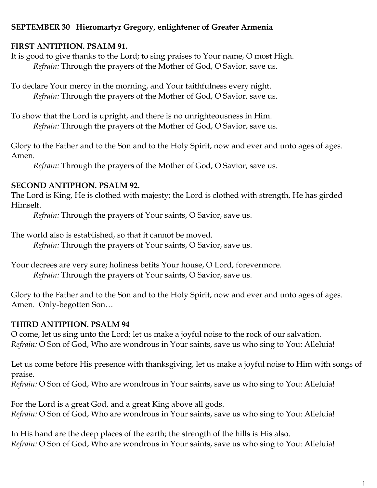## **SEPTEMBER 30 Hieromartyr Gregory, enlightener of Greater Armenia**

## **FIRST ANTIPHON. PSALM 91.**

It is good to give thanks to the Lord; to sing praises to Your name, O most High. *Refrain:* Through the prayers of the Mother of God, O Savior, save us.

To declare Your mercy in the morning, and Your faithfulness every night. *Refrain:* Through the prayers of the Mother of God, O Savior, save us.

To show that the Lord is upright, and there is no unrighteousness in Him. *Refrain:* Through the prayers of the Mother of God, O Savior, save us.

Glory to the Father and to the Son and to the Holy Spirit, now and ever and unto ages of ages. Amen.

*Refrain:* Through the prayers of the Mother of God, O Savior, save us.

# **SECOND ANTIPHON. PSALM 92.**

The Lord is King, He is clothed with majesty; the Lord is clothed with strength, He has girded Himself.

*Refrain:* Through the prayers of Your saints, O Savior, save us.

The world also is established, so that it cannot be moved.

*Refrain:* Through the prayers of Your saints, O Savior, save us.

Your decrees are very sure; holiness befits Your house, O Lord, forevermore. *Refrain:* Through the prayers of Your saints, O Savior, save us.

Glory to the Father and to the Son and to the Holy Spirit, now and ever and unto ages of ages. Amen. Only-begotten Son…

## **THIRD ANTIPHON. PSALM 94**

O come, let us sing unto the Lord; let us make a joyful noise to the rock of our salvation. *Refrain:* O Son of God, Who are wondrous in Your saints, save us who sing to You: Alleluia!

Let us come before His presence with thanksgiving, let us make a joyful noise to Him with songs of praise.

*Refrain:* O Son of God, Who are wondrous in Your saints, save us who sing to You: Alleluia!

For the Lord is a great God, and a great King above all gods. *Refrain:* O Son of God, Who are wondrous in Your saints, save us who sing to You: Alleluia!

In His hand are the deep places of the earth; the strength of the hills is His also. *Refrain:* O Son of God, Who are wondrous in Your saints, save us who sing to You: Alleluia!